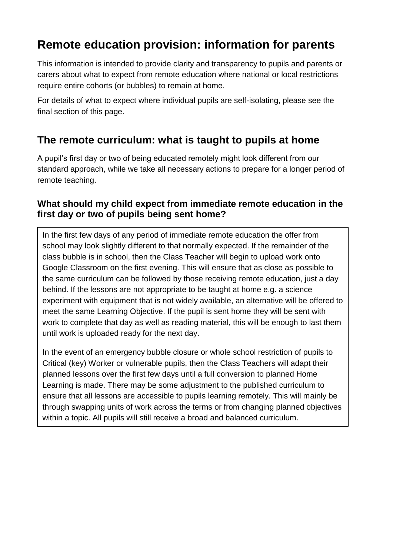# **Remote education provision: information for parents**

This information is intended to provide clarity and transparency to pupils and parents or carers about what to expect from remote education where national or local restrictions require entire cohorts (or bubbles) to remain at home.

For details of what to expect where individual pupils are self-isolating, please see the final section of this page.

# **The remote curriculum: what is taught to pupils at home**

A pupil's first day or two of being educated remotely might look different from our standard approach, while we take all necessary actions to prepare for a longer period of remote teaching.

### **What should my child expect from immediate remote education in the first day or two of pupils being sent home?**

In the first few days of any period of immediate remote education the offer from school may look slightly different to that normally expected. If the remainder of the class bubble is in school, then the Class Teacher will begin to upload work onto Google Classroom on the first evening. This will ensure that as close as possible to the same curriculum can be followed by those receiving remote education, just a day behind. If the lessons are not appropriate to be taught at home e.g. a science experiment with equipment that is not widely available, an alternative will be offered to meet the same Learning Objective. If the pupil is sent home they will be sent with work to complete that day as well as reading material, this will be enough to last them until work is uploaded ready for the next day.

In the event of an emergency bubble closure or whole school restriction of pupils to Critical (key) Worker or vulnerable pupils, then the Class Teachers will adapt their planned lessons over the first few days until a full conversion to planned Home Learning is made. There may be some adjustment to the published curriculum to ensure that all lessons are accessible to pupils learning remotely. This will mainly be through swapping units of work across the terms or from changing planned objectives within a topic. All pupils will still receive a broad and balanced curriculum.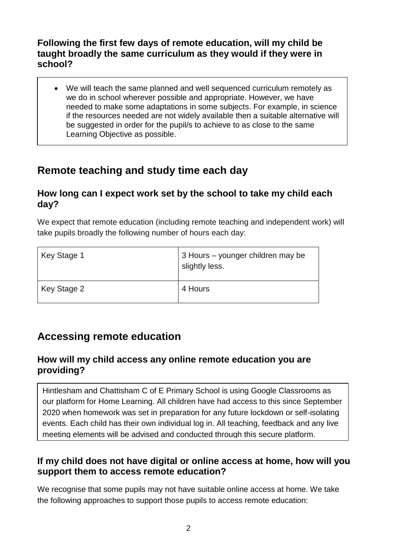### **Following the first few days of remote education, will my child be taught broadly the same curriculum as they would if they were in school?**

• We will teach the same planned and well sequenced curriculum remotely as we do in school wherever possible and appropriate. However, we have needed to make some adaptations in some subjects. For example, in science if the resources needed are not widely available then a suitable alternative will be suggested in order for the pupil/s to achieve to as close to the same Learning Objective as possible.

# **Remote teaching and study time each day**

# **How long can I expect work set by the school to take my child each day?**

We expect that remote education (including remote teaching and independent work) will take pupils broadly the following number of hours each day:

| Key Stage 1 | 3 Hours - younger children may be<br>slightly less. |
|-------------|-----------------------------------------------------|
| Key Stage 2 | 4 Hours                                             |

# **Accessing remote education**

### **How will my child access any online remote education you are providing?**

Hintlesham and Chattisham C of E Primary School is using Google Classrooms as our platform for Home Learning. All children have had access to this since September 2020 when homework was set in preparation for any future lockdown or self-isolating events. Each child has their own individual log in. All teaching, feedback and any live meeting elements will be advised and conducted through this secure platform.

# **If my child does not have digital or online access at home, how will you support them to access remote education?**

We recognise that some pupils may not have suitable online access at home. We take the following approaches to support those pupils to access remote education: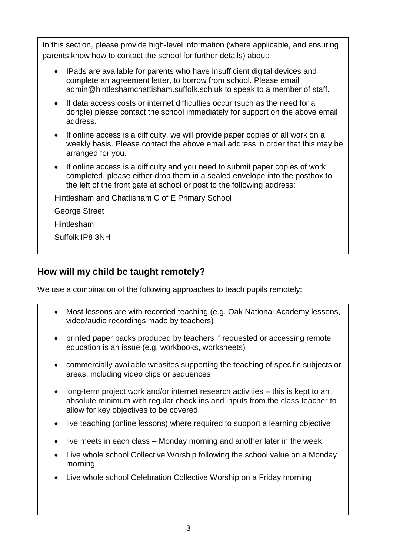In this section, please provide high-level information (where applicable, and ensuring parents know how to contact the school for further details) about:

- IPads are available for parents who have insufficient digital devices and complete an agreement letter, to borrow from school. Please email [admin@hintleshamchattisham.suffolk.sch.uk](mailto:admin@hintleshamchattisham.suffolk.sch.uk) to speak to a member of staff.
- If data access costs or internet difficulties occur (such as the need for a dongle) please contact the school immediately for support on the above email address.
- If online access is a difficulty, we will provide paper copies of all work on a weekly basis. Please contact the above email address in order that this may be arranged for you.
- If online access is a difficulty and you need to submit paper copies of work completed, please either drop them in a sealed envelope into the postbox to the left of the front gate at school or post to the following address:

Hintlesham and Chattisham C of E Primary School

George Street

Hintlesham

Suffolk IP8 3NH

# **How will my child be taught remotely?**

We use a combination of the following approaches to teach pupils remotely:

- Most lessons are with recorded teaching (e.g. Oak National Academy lessons, video/audio recordings made by teachers)
- printed paper packs produced by teachers if requested or accessing remote education is an issue (e.g. workbooks, worksheets)
- commercially available websites supporting the teaching of specific subjects or areas, including video clips or sequences
- long-term project work and/or internet research activities this is kept to an absolute minimum with regular check ins and inputs from the class teacher to allow for key objectives to be covered
- live teaching (online lessons) where required to support a learning objective
- live meets in each class Monday morning and another later in the week
- Live whole school Collective Worship following the school value on a Monday morning
- Live whole school Celebration Collective Worship on a Friday morning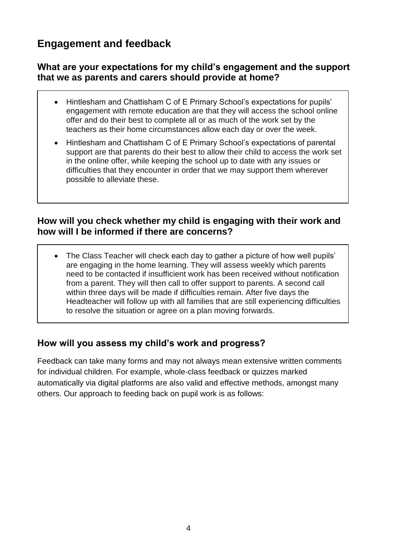# **Engagement and feedback**

### **What are your expectations for my child's engagement and the support that we as parents and carers should provide at home?**

- Hintlesham and Chattisham C of E Primary School's expectations for pupils' engagement with remote education are that they will access the school online offer and do their best to complete all or as much of the work set by the teachers as their home circumstances allow each day or over the week.
- Hintlesham and Chattisham C of E Primary School's expectations of parental support are that parents do their best to allow their child to access the work set in the online offer, while keeping the school up to date with any issues or difficulties that they encounter in order that we may support them wherever possible to alleviate these.

#### **How will you check whether my child is engaging with their work and how will I be informed if there are concerns?**

• The Class Teacher will check each day to gather a picture of how well pupils' are engaging in the home learning. They will assess weekly which parents need to be contacted if insufficient work has been received without notification from a parent. They will then call to offer support to parents. A second call within three days will be made if difficulties remain. After five days the Headteacher will follow up with all families that are still experiencing difficulties to resolve the situation or agree on a plan moving forwards.

### **How will you assess my child's work and progress?**

Feedback can take many forms and may not always mean extensive written comments for individual children. For example, whole-class feedback or quizzes marked automatically via digital platforms are also valid and effective methods, amongst many others. Our approach to feeding back on pupil work is as follows: